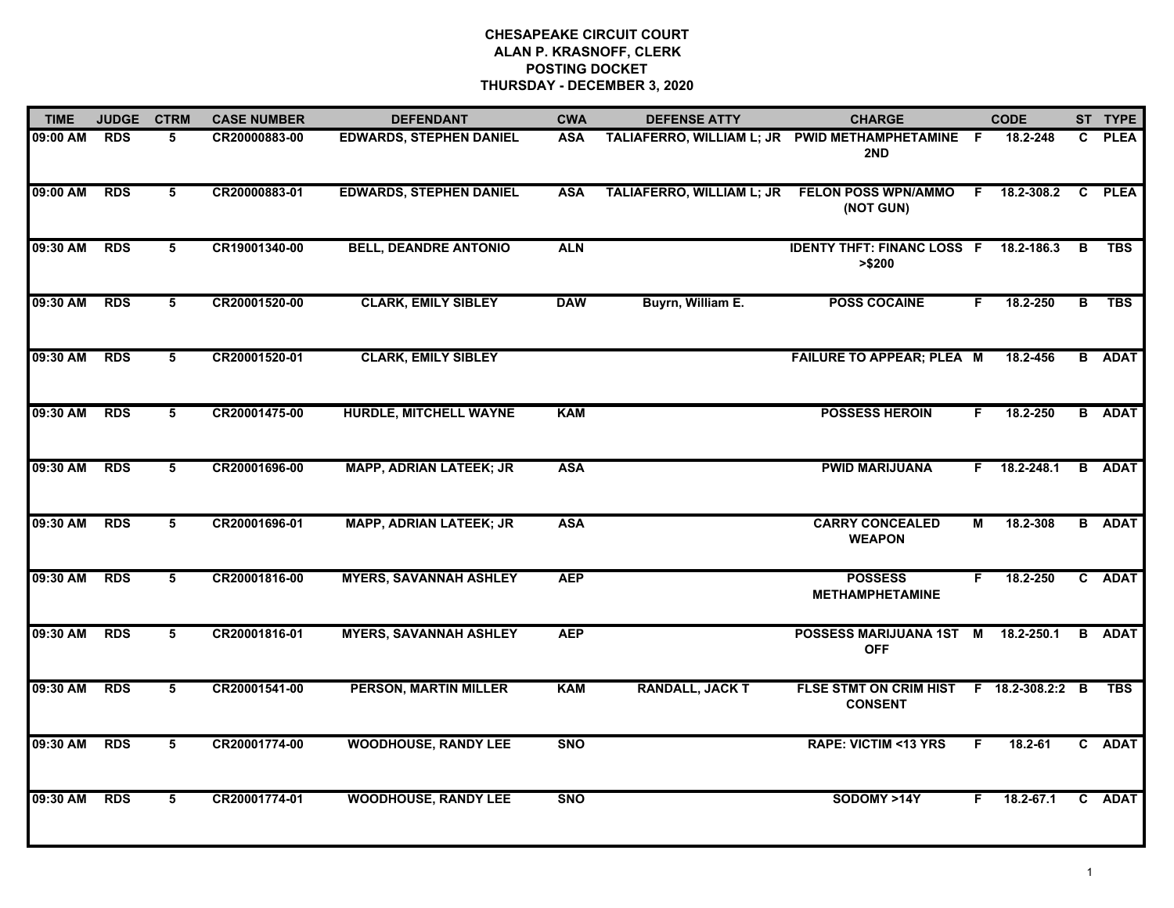| <b>TIME</b> | <b>JUDGE</b> | <b>CTRM</b>     | <b>CASE NUMBER</b> | <b>DEFENDANT</b>               | <b>CWA</b> | <b>DEFENSE ATTY</b>                            | <b>CHARGE</b>                                             |     | <b>CODE</b>    |    | ST TYPE       |
|-------------|--------------|-----------------|--------------------|--------------------------------|------------|------------------------------------------------|-----------------------------------------------------------|-----|----------------|----|---------------|
| 09:00 AM    | <b>RDS</b>   | 5.              | CR20000883-00      | <b>EDWARDS, STEPHEN DANIEL</b> | <b>ASA</b> | TALIAFERRO, WILLIAM L; JR PWID METHAMPHETAMINE | 2ND                                                       | - F | 18.2-248       | C. | <b>PLEA</b>   |
| 09:00 AM    | <b>RDS</b>   | 5               | CR20000883-01      | <b>EDWARDS, STEPHEN DANIEL</b> | <b>ASA</b> | TALIAFERRO, WILLIAM L; JR                      | <b>FELON POSS WPN/AMMO</b><br>(NOT GUN)                   |     | $F$ 18.2-308.2 |    | C PLEA        |
| 09:30 AM    | <b>RDS</b>   | 5               | CR19001340-00      | <b>BELL, DEANDRE ANTONIO</b>   | <b>ALN</b> |                                                | <b>IDENTY THFT: FINANC LOSS F 18.2-186.3</b><br>> \$200   |     |                | B  | <b>TBS</b>    |
| 09:30 AM    | <b>RDS</b>   | 5               | CR20001520-00      | <b>CLARK, EMILY SIBLEY</b>     | <b>DAW</b> | Buyrn, William E.                              | <b>POSS COCAINE</b>                                       | F.  | 18.2-250       | в  | <b>TBS</b>    |
| 09:30 AM    | <b>RDS</b>   | 5               | CR20001520-01      | <b>CLARK, EMILY SIBLEY</b>     |            |                                                | FAILURE TO APPEAR; PLEA M                                 |     | 18.2-456       |    | <b>B</b> ADAT |
| 09:30 AM    | <b>RDS</b>   | 5               | CR20001475-00      | <b>HURDLE, MITCHELL WAYNE</b>  | <b>KAM</b> |                                                | <b>POSSESS HEROIN</b>                                     | F.  | 18.2-250       |    | <b>B</b> ADAT |
| 09:30 AM    | <b>RDS</b>   | $5\overline{5}$ | CR20001696-00      | <b>MAPP, ADRIAN LATEEK; JR</b> | <b>ASA</b> |                                                | <b>PWID MARIJUANA</b>                                     |     | $F$ 18.2-248.1 |    | <b>B</b> ADAT |
| 09:30 AM    | <b>RDS</b>   | 5               | CR20001696-01      | <b>MAPP, ADRIAN LATEEK; JR</b> | <b>ASA</b> |                                                | <b>CARRY CONCEALED</b><br><b>WEAPON</b>                   | М   | 18.2-308       |    | <b>B</b> ADAT |
| 09:30 AM    | <b>RDS</b>   | 5               | CR20001816-00      | <b>MYERS, SAVANNAH ASHLEY</b>  | <b>AEP</b> |                                                | <b>POSSESS</b><br><b>METHAMPHETAMINE</b>                  | F.  | 18.2-250       |    | C ADAT        |
| 09:30 AM    | <b>RDS</b>   | 5               | CR20001816-01      | <b>MYERS, SAVANNAH ASHLEY</b>  | <b>AEP</b> |                                                | POSSESS MARIJUANA 1ST<br><b>OFF</b>                       | M   | 18.2-250.1     |    | <b>B</b> ADAT |
| 09:30 AM    | <b>RDS</b>   | 5               | CR20001541-00      | <b>PERSON, MARTIN MILLER</b>   | <b>KAM</b> | <b>RANDALL, JACK T</b>                         | FLSE STMT ON CRIM HIST F 18.2-308.2:2 B<br><b>CONSENT</b> |     |                |    | <b>TBS</b>    |
| 09:30 AM    | <b>RDS</b>   | 5               | CR20001774-00      | <b>WOODHOUSE, RANDY LEE</b>    | <b>SNO</b> |                                                | <b>RAPE: VICTIM &lt;13 YRS</b>                            | F.  | 18.2-61        |    | C ADAT        |
| 09:30 AM    | <b>RDS</b>   | 5               | CR20001774-01      | <b>WOODHOUSE, RANDY LEE</b>    | <b>SNO</b> |                                                | SODOMY >14Y                                               | F.  | 18.2-67.1      |    | C ADAT        |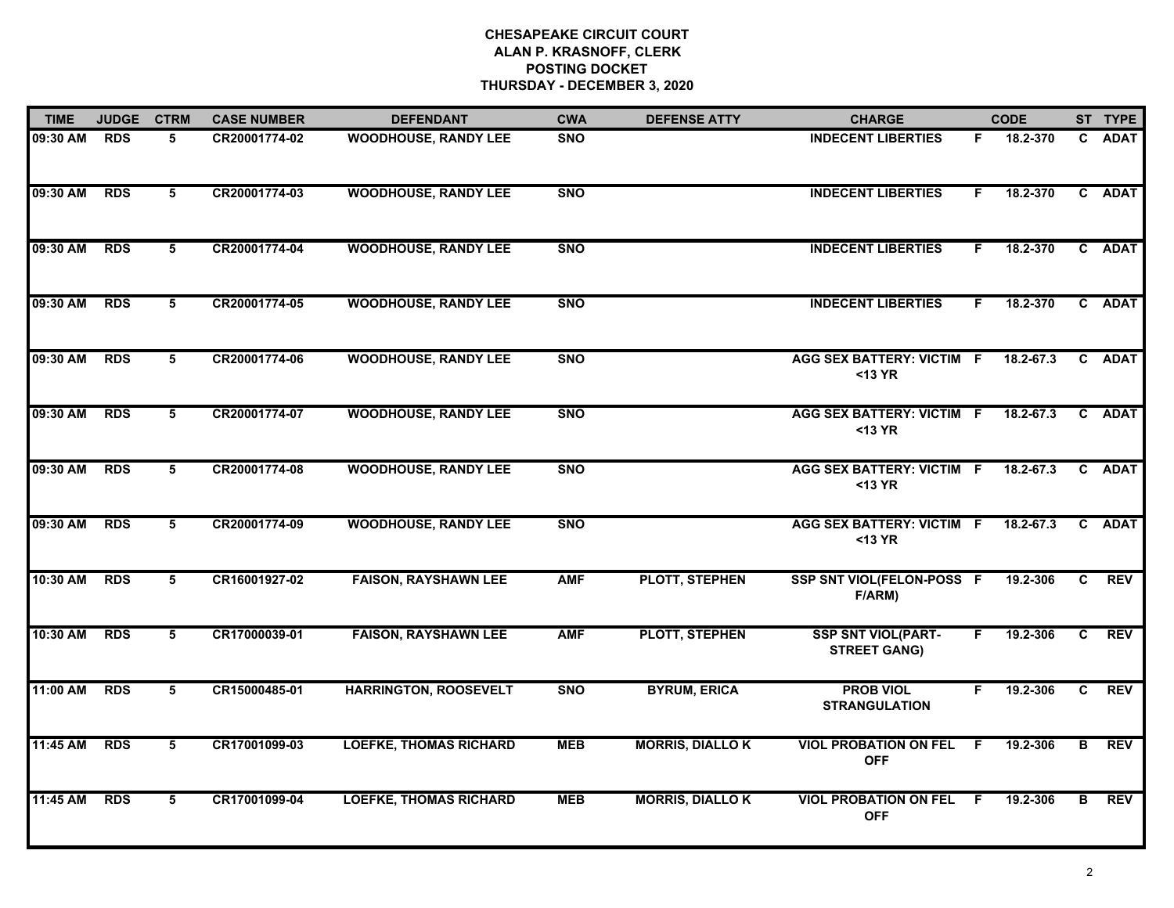| <b>TIME</b> | <b>JUDGE</b> | <b>CTRM</b>     | <b>CASE NUMBER</b> | <b>DEFENDANT</b>              | <b>CWA</b> | <b>DEFENSE ATTY</b>    | <b>CHARGE</b>                                    |    | <b>CODE</b>   |              | ST TYPE     |
|-------------|--------------|-----------------|--------------------|-------------------------------|------------|------------------------|--------------------------------------------------|----|---------------|--------------|-------------|
| 09:30 AM    | <b>RDS</b>   | 5               | CR20001774-02      | <b>WOODHOUSE, RANDY LEE</b>   | <b>SNO</b> |                        | <b>INDECENT LIBERTIES</b>                        |    | F 18.2-370    |              | C ADAT      |
| 09:30 AM    | <b>RDS</b>   | $\overline{5}$  | CR20001774-03      | <b>WOODHOUSE, RANDY LEE</b>   | <b>SNO</b> |                        | <b>INDECENT LIBERTIES</b>                        | F. | 18.2-370      |              | C ADAT      |
| 09:30 AM    | <b>RDS</b>   | 5               | CR20001774-04      | <b>WOODHOUSE, RANDY LEE</b>   | <b>SNO</b> |                        | <b>INDECENT LIBERTIES</b>                        | F. | 18.2-370      |              | C ADAT      |
| 09:30 AM    | <b>RDS</b>   | 5               | CR20001774-05      | <b>WOODHOUSE, RANDY LEE</b>   | <b>SNO</b> |                        | <b>INDECENT LIBERTIES</b>                        | F. | 18.2-370      |              | C ADAT      |
| 09:30 AM    | <b>RDS</b>   | 5               | CR20001774-06      | <b>WOODHOUSE, RANDY LEE</b>   | <b>SNO</b> |                        | <b>AGG SEX BATTERY: VICTIM F</b><br>$13 YR$      |    | 18.2-67.3     |              | C ADAT      |
| 09:30 AM    | <b>RDS</b>   | 5               | CR20001774-07      | <b>WOODHOUSE, RANDY LEE</b>   | <b>SNO</b> |                        | <b>AGG SEX BATTERY: VICTIM F</b><br>$13 YR$      |    | $18.2 - 67.3$ |              | C ADAT      |
| 09:30 AM    | <b>RDS</b>   | $5\overline{5}$ | CR20001774-08      | <b>WOODHOUSE, RANDY LEE</b>   | <b>SNO</b> |                        | <b>AGG SEX BATTERY: VICTIM F</b><br><13 YR       |    | 18.2-67.3     | C            | <b>ADAT</b> |
| 09:30 AM    | <b>RDS</b>   | 5               | CR20001774-09      | <b>WOODHOUSE, RANDY LEE</b>   | <b>SNO</b> |                        | <b>AGG SEX BATTERY: VICTIM F</b><br>$13 YR$      |    | 18.2-67.3     |              | C ADAT      |
| 10:30 AM    | <b>RDS</b>   | 5               | CR16001927-02      | <b>FAISON, RAYSHAWN LEE</b>   | <b>AMF</b> | PLOTT, STEPHEN         | SSP SNT VIOL(FELON-POSS F<br>F/ARM)              |    | 19.2-306      | C.           | <b>REV</b>  |
| 10:30 AM    | <b>RDS</b>   | 5               | CR17000039-01      | <b>FAISON, RAYSHAWN LEE</b>   | <b>AMF</b> | <b>PLOTT, STEPHEN</b>  | <b>SSP SNT VIOL(PART-</b><br><b>STREET GANG)</b> | F. | 19.2-306      | $\mathbf{c}$ | <b>REV</b>  |
| 11:00 AM    | <b>RDS</b>   | 5               | CR15000485-01      | <b>HARRINGTON, ROOSEVELT</b>  | <b>SNO</b> | <b>BYRUM, ERICA</b>    | <b>PROB VIOL</b><br><b>STRANGULATION</b>         | F. | 19.2-306      | C            | <b>REV</b>  |
| 11:45 AM    | <b>RDS</b>   | $\overline{5}$  | CR17001099-03      | <b>LOEFKE, THOMAS RICHARD</b> | <b>MEB</b> | <b>MORRIS, DIALLOK</b> | <b>VIOL PROBATION ON FEL</b><br><b>OFF</b>       | F. | 19.2-306      | B            | <b>REV</b>  |
| 11:45 AM    | <b>RDS</b>   | 5               | CR17001099-04      | <b>LOEFKE, THOMAS RICHARD</b> | <b>MEB</b> | <b>MORRIS, DIALLOK</b> | <b>VIOL PROBATION ON FEL</b><br><b>OFF</b>       | -F | 19.2-306      | В            | <b>REV</b>  |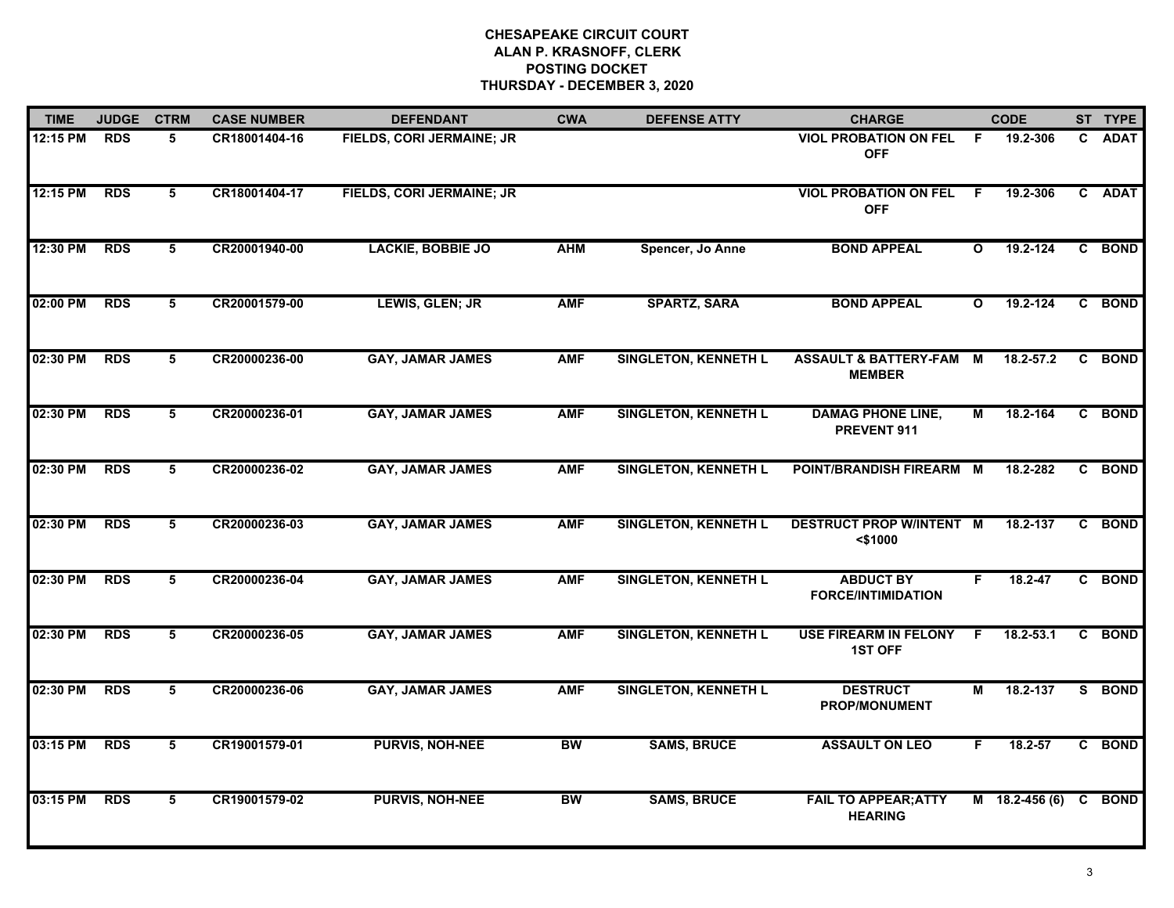| <b>TIME</b> | <b>JUDGE</b> | <b>CTRM</b>     | <b>CASE NUMBER</b> | <b>DEFENDANT</b>          | <b>CWA</b> | <b>DEFENSE ATTY</b>         | <b>CHARGE</b>                                       |              | <b>CODE</b>      | ST TYPE |
|-------------|--------------|-----------------|--------------------|---------------------------|------------|-----------------------------|-----------------------------------------------------|--------------|------------------|---------|
| 12:15 PM    | <b>RDS</b>   | 5               | CR18001404-16      | FIELDS, CORI JERMAINE; JR |            |                             | <b>VIOL PROBATION ON FEL</b><br><b>OFF</b>          | F.           | 19.2-306         | C ADAT  |
| 12:15 PM    | <b>RDS</b>   | 5               | CR18001404-17      | FIELDS, CORI JERMAINE; JR |            |                             | <b>VIOL PROBATION ON FEL</b><br><b>OFF</b>          | F.           | 19.2-306         | C ADAT  |
| 12:30 PM    | <b>RDS</b>   | $5\overline{5}$ | CR20001940-00      | <b>LACKIE, BOBBIE JO</b>  | <b>AHM</b> | Spencer, Jo Anne            | <b>BOND APPEAL</b>                                  | $\mathbf{o}$ | 19.2-124         | C BOND  |
| 02:00 PM    | <b>RDS</b>   | 5               | CR20001579-00      | LEWIS, GLEN; JR           | <b>AMF</b> | <b>SPARTZ, SARA</b>         | <b>BOND APPEAL</b>                                  | O            | 19.2-124         | C BOND  |
| 02:30 PM    | <b>RDS</b>   | 5               | CR20000236-00      | <b>GAY, JAMAR JAMES</b>   | <b>AMF</b> | <b>SINGLETON, KENNETH L</b> | <b>ASSAULT &amp; BATTERY-FAM M</b><br><b>MEMBER</b> |              | 18.2-57.2        | C BOND  |
| 02:30 PM    | <b>RDS</b>   | 5               | CR20000236-01      | <b>GAY, JAMAR JAMES</b>   | <b>AMF</b> | <b>SINGLETON, KENNETH L</b> | <b>DAMAG PHONE LINE,</b><br>PREVENT 911             | M            | 18.2-164         | C BOND  |
| 02:30 PM    | <b>RDS</b>   | 5               | CR20000236-02      | <b>GAY, JAMAR JAMES</b>   | <b>AMF</b> | <b>SINGLETON, KENNETH L</b> | POINT/BRANDISH FIREARM M                            |              | 18.2-282         | C BOND  |
| 02:30 PM    | <b>RDS</b>   | $5\overline{5}$ | CR20000236-03      | <b>GAY, JAMAR JAMES</b>   | <b>AMF</b> | <b>SINGLETON, KENNETH L</b> | <b>DESTRUCT PROP W/INTENT M</b><br><\$1000          |              | 18.2-137         | C BOND  |
| 02:30 PM    | <b>RDS</b>   | 5               | CR20000236-04      | <b>GAY, JAMAR JAMES</b>   | <b>AMF</b> | <b>SINGLETON, KENNETH L</b> | <b>ABDUCT BY</b><br><b>FORCE/INTIMIDATION</b>       | F.           | 18.2-47          | C BOND  |
| 02:30 PM    | <b>RDS</b>   | 5               | CR20000236-05      | <b>GAY, JAMAR JAMES</b>   | <b>AMF</b> | <b>SINGLETON, KENNETH L</b> | <b>USE FIREARM IN FELONY</b><br><b>1ST OFF</b>      | F.           | 18.2-53.1        | C BOND  |
| 02:30 PM    | <b>RDS</b>   | 5               | CR20000236-06      | <b>GAY, JAMAR JAMES</b>   | <b>AMF</b> | <b>SINGLETON, KENNETH L</b> | <b>DESTRUCT</b><br>PROP/MONUMENT                    | Μ            | 18.2-137         | S BOND  |
| 03:15 PM    | <b>RDS</b>   | 5               | CR19001579-01      | <b>PURVIS, NOH-NEE</b>    | <b>BW</b>  | <b>SAMS, BRUCE</b>          | <b>ASSAULT ON LEO</b>                               | F.           | 18.2-57          | C BOND  |
| 03:15 PM    | <b>RDS</b>   | $5\overline{5}$ | CR19001579-02      | <b>PURVIS, NOH-NEE</b>    | <b>BW</b>  | <b>SAMS, BRUCE</b>          | <b>FAIL TO APPEAR; ATTY</b><br><b>HEARING</b>       |              | $M$ 18.2-456 (6) | C BOND  |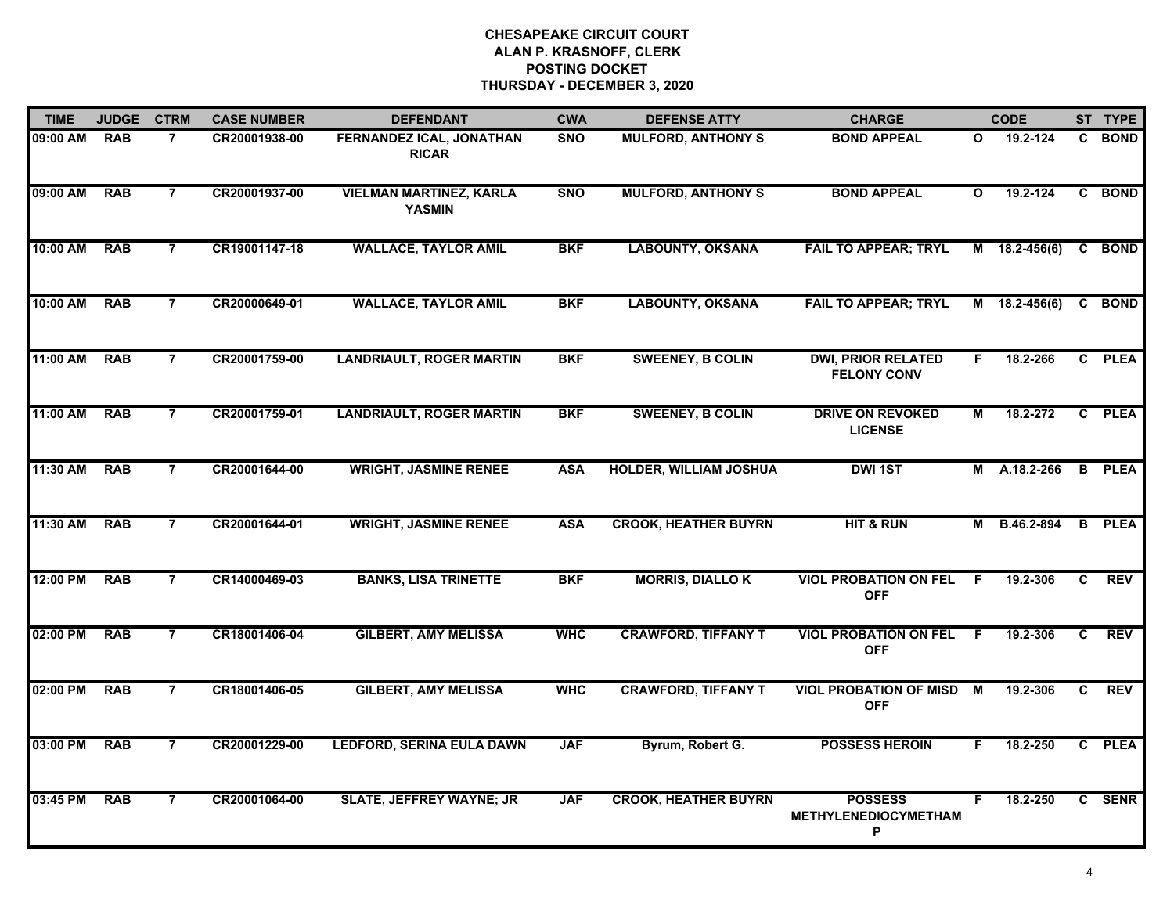| <b>TIME</b> | <b>JUDGE</b> | <b>CTRM</b>    | <b>CASE NUMBER</b> | <b>DEFENDANT</b>                                | <b>CWA</b> | <b>DEFENSE ATTY</b>           | <b>CHARGE</b>                                      |                | <b>CODE</b>     |    | ST TYPE       |
|-------------|--------------|----------------|--------------------|-------------------------------------------------|------------|-------------------------------|----------------------------------------------------|----------------|-----------------|----|---------------|
| 09:00 AM    | <b>RAB</b>   | $\overline{7}$ | CR20001938-00      | FERNANDEZ ICAL, JONATHAN<br><b>RICAR</b>        | <b>SNO</b> | <b>MULFORD, ANTHONY S</b>     | <b>BOND APPEAL</b>                                 | $\mathbf{o}$   | 19.2-124        | C. | <b>BOND</b>   |
| 09:00 AM    | <b>RAB</b>   | $\overline{7}$ | CR20001937-00      | <b>VIELMAN MARTINEZ, KARLA</b><br><b>YASMIN</b> | <b>SNO</b> | <b>MULFORD, ANTHONY S</b>     | <b>BOND APPEAL</b>                                 | $\mathbf{o}$   | $19.2 - 124$    | C. | <b>BOND</b>   |
| 10:00 AM    | <b>RAB</b>   | $\overline{7}$ | CR19001147-18      | <b>WALLACE, TAYLOR AMIL</b>                     | <b>BKF</b> | <b>LABOUNTY, OKSANA</b>       | <b>FAIL TO APPEAR; TRYL</b>                        |                | M 18.2-456(6)   |    | C BOND        |
| 10:00 AM    | <b>RAB</b>   | $\overline{7}$ | CR20000649-01      | <b>WALLACE, TAYLOR AMIL</b>                     | <b>BKF</b> | <b>LABOUNTY, OKSANA</b>       | <b>FAIL TO APPEAR; TRYL</b>                        | М              | $18.2 - 456(6)$ | C  | <b>BOND</b>   |
| 11:00 AM    | <b>RAB</b>   | $\overline{7}$ | CR20001759-00      | <b>LANDRIAULT, ROGER MARTIN</b>                 | <b>BKF</b> | <b>SWEENEY, B COLIN</b>       | <b>DWI, PRIOR RELATED</b><br><b>FELONY CONV</b>    | F.             | 18.2-266        |    | C PLEA        |
| 11:00 AM    | <b>RAB</b>   | $\overline{7}$ | CR20001759-01      | <b>LANDRIAULT, ROGER MARTIN</b>                 | <b>BKF</b> | <b>SWEENEY, B COLIN</b>       | <b>DRIVE ON REVOKED</b><br><b>LICENSE</b>          | М              | 18.2-272        |    | C PLEA        |
| 11:30 AM    | <b>RAB</b>   | $\overline{7}$ | CR20001644-00      | <b>WRIGHT, JASMINE RENEE</b>                    | <b>ASA</b> | <b>HOLDER, WILLIAM JOSHUA</b> | <b>DWI 1ST</b>                                     | М              | A.18.2-266      |    | <b>B</b> PLEA |
| 11:30 AM    | <b>RAB</b>   | 7              | CR20001644-01      | <b>WRIGHT, JASMINE RENEE</b>                    | <b>ASA</b> | <b>CROOK, HEATHER BUYRN</b>   | <b>HIT &amp; RUN</b>                               | М              | B.46.2-894      | B  | <b>PLEA</b>   |
| 12:00 PM    | <b>RAB</b>   | $\overline{7}$ | CR14000469-03      | <b>BANKS, LISA TRINETTE</b>                     | <b>BKF</b> | <b>MORRIS, DIALLOK</b>        | <b>VIOL PROBATION ON FEL</b><br><b>OFF</b>         | F.             | 19.2-306        | C  | <b>REV</b>    |
| 02:00 PM    | <b>RAB</b>   | $\overline{7}$ | CR18001406-04      | <b>GILBERT, AMY MELISSA</b>                     | <b>WHC</b> | <b>CRAWFORD, TIFFANY T</b>    | <b>VIOL PROBATION ON FEL F</b><br><b>OFF</b>       |                | 19.2-306        | C. | <b>REV</b>    |
| 02:00 PM    | <b>RAB</b>   | $\overline{7}$ | CR18001406-05      | <b>GILBERT, AMY MELISSA</b>                     | <b>WHC</b> | <b>CRAWFORD, TIFFANY T</b>    | <b>VIOL PROBATION OF MISD</b><br><b>OFF</b>        | $\blacksquare$ | 19.2-306        | C  | <b>REV</b>    |
| 03:00 PM    | <b>RAB</b>   | $\overline{7}$ | CR20001229-00      | <b>LEDFORD, SERINA EULA DAWN</b>                | <b>JAF</b> | Byrum, Robert G.              | <b>POSSESS HEROIN</b>                              | F.             | 18.2-250        | C. | <b>PLEA</b>   |
| 03:45 PM    | <b>RAB</b>   | 7              | CR20001064-00      | <b>SLATE, JEFFREY WAYNE; JR</b>                 | <b>JAF</b> | <b>CROOK, HEATHER BUYRN</b>   | <b>POSSESS</b><br><b>METHYLENEDIOCYMETHAM</b><br>P | F.             | 18.2-250        | C  | <b>SENR</b>   |